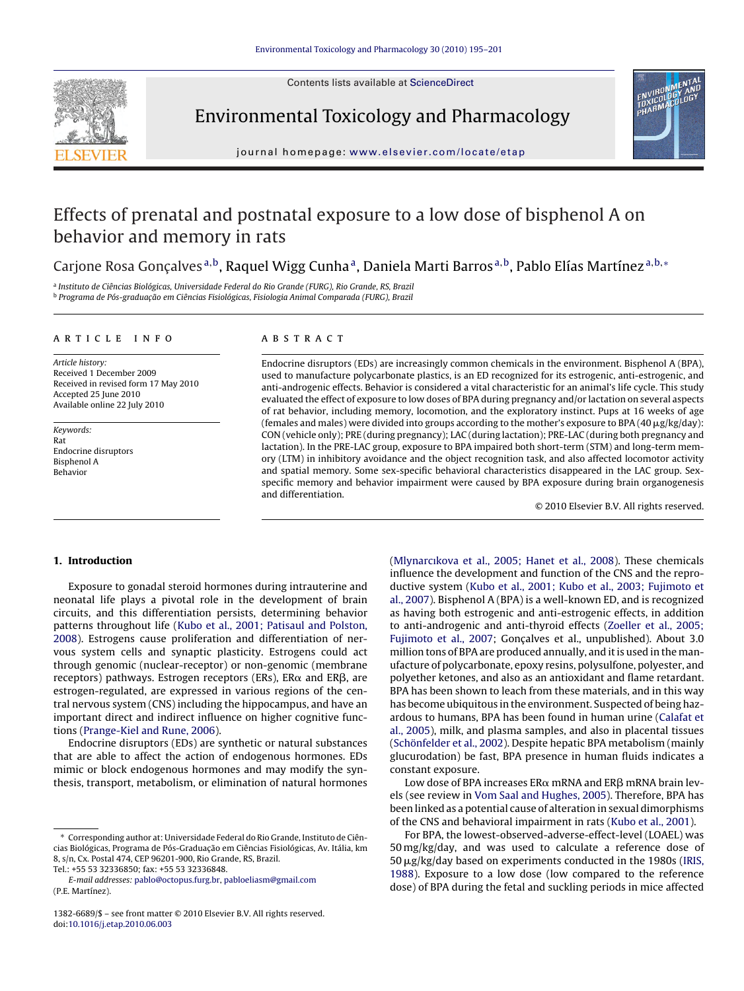Contents lists available at [ScienceDirect](http://www.sciencedirect.com/science/journal/13826689)



Environmental Toxicology and Pharmacology



journal homepage: [www.elsevier.com/locate/etap](http://www.elsevier.com/locate/etap)

# Effects of prenatal and postnatal exposure to a low dose of bisphenol A on behavior and memory in rats

Carjone Rosa Gonçalves<sup>a,b</sup>, Raquel Wigg Cunha<sup>a</sup>, Daniela Marti Barros a,b, Pablo Elías Martínez<sup>a,b,∗</sup>

<sup>a</sup> Instituto de Ciências Biológicas, Universidade Federal do Rio Grande (FURG), Rio Grande, RS, Brazil <sup>b</sup> Programa de Pós-graduação em Ciências Fisiológicas, Fisiologia Animal Comparada (FURG), Brazil

# article info

Article history: Received 1 December 2009 Received in revised form 17 May 2010 Accepted 25 June 2010 Available online 22 July 2010

Keywords: Rat Endocrine disruptors Bisphenol A Behavior

## **ABSTRACT**

Endocrine disruptors (EDs) are increasingly common chemicals in the environment. Bisphenol A (BPA), used to manufacture polycarbonate plastics, is an ED recognized for its estrogenic, anti-estrogenic, and anti-androgenic effects. Behavior is considered a vital characteristic for an animal's life cycle. This study evaluated the effect of exposure to low doses of BPA during pregnancy and/or lactation on several aspects of rat behavior, including memory, locomotion, and the exploratory instinct. Pups at 16 weeks of age (females and males) were divided into groups according to the mother's exposure to BPA (40  $\mu$ g/kg/day): CON (vehicle only); PRE (during pregnancy); LAC (during lactation); PRE-LAC (during both pregnancy and lactation). In the PRE-LAC group, exposure to BPA impaired both short-term (STM) and long-term memory (LTM) in inhibitory avoidance and the object recognition task, and also affected locomotor activity and spatial memory. Some sex-specific behavioral characteristics disappeared in the LAC group. Sexspecific memory and behavior impairment were caused by BPA exposure during brain organogenesis and differentiation.

© 2010 Elsevier B.V. All rights reserved.

# **1. Introduction**

Exposure to gonadal steroid hormones during intrauterine and neonatal life plays a pivotal role in the development of brain circuits, and this differentiation persists, determining behavior patterns throughout life [\(Kubo et al., 2001; Patisaul and Polston,](#page-6-0) [2008\).](#page-6-0) Estrogens cause proliferation and differentiation of nervous system cells and synaptic plasticity. Estrogens could act through genomic (nuclear-receptor) or non-genomic (membrane receptors) pathways. Estrogen receptors (ERs), ER $\alpha$  and ER $\beta$ , are estrogen-regulated, are expressed in various regions of the central nervous system (CNS) including the hippocampus, and have an important direct and indirect influence on higher cognitive functions ([Prange-Kiel and Rune, 2006\).](#page-6-0)

Endocrine disruptors (EDs) are synthetic or natural substances that are able to affect the action of endogenous hormones. EDs mimic or block endogenous hormones and may modify the synthesis, transport, metabolism, or elimination of natural hormones

Tel.: +55 53 32336850; fax: +55 53 32336848.

[\(Mlynarcıkova et al., 2005; Hanet et al., 2008\).](#page-6-0) These chemicals influence the development and function of the CNS and the reproductive system [\(Kubo et al., 2001; Kubo et al., 2003; Fujimoto et](#page-6-0) [al., 2007\).](#page-6-0) Bisphenol A (BPA) is a well-known ED, and is recognized as having both estrogenic and anti-estrogenic effects, in addition to anti-androgenic and anti-thyroid effects ([Zoeller et al., 2005;](#page-6-0) [Fujimoto et al., 2007;](#page-6-0) Gonçalves et al., unpublished). About 3.0 million tons of BPA are produced annually, and it is used in the manufacture of polycarbonate, epoxy resins, polysulfone, polyester, and polyether ketones, and also as an antioxidant and flame retardant. BPA has been shown to leach from these materials, and in this way has become ubiquitous in the environment. Suspected of being hazardous to humans, BPA has been found in human urine ([Calafat et](#page-5-0) [al., 2005\),](#page-5-0) milk, and plasma samples, and also in placental tissues [\(Schönfelder et al., 2002\).](#page-6-0) Despite hepatic BPA metabolism (mainly glucurodation) be fast, BPA presence in human fluids indicates a constant exposure.

Low dose of BPA increases  $ER\alpha$  mRNA and ER $\beta$  mRNA brain levels (see review in [Vom Saal and Hughes, 2005\).](#page-6-0) Therefore, BPA has been linked as a potential cause of alteration in sexual dimorphisms of the CNS and behavioral impairment in rats [\(Kubo et al., 2001\).](#page-6-0)

For BPA, the lowest-observed-adverse-effect-level (LOAEL) was 50 mg/kg/day, and was used to calculate a reference dose of  $50 \,\mu g/kg$  day based on experiments conducted in the 1980s [\(IRIS,](#page-5-0) [1988\).](#page-5-0) Exposure to a low dose (low compared to the reference dose) of BPA during the fetal and suckling periods in mice affected

<sup>∗</sup> Corresponding author at: Universidade Federal do Rio Grande, Instituto de Ciências Biológicas, Programa de Pós-Graduação em Ciências Fisiológicas, Av. Itália, km 8, s/n, Cx. Postal 474, CEP 96201-900, Rio Grande, RS, Brazil.

E-mail addresses: [pablo@octopus.furg.br](mailto:pablo@octopus.furg.br), [pabloeliasm@gmail.com](mailto:pabloeliasm@gmail.com) (P.E. Martínez).

<sup>1382-6689/\$ –</sup> see front matter © 2010 Elsevier B.V. All rights reserved. doi:[10.1016/j.etap.2010.06.003](dx.doi.org/10.1016/j.etap.2010.06.003)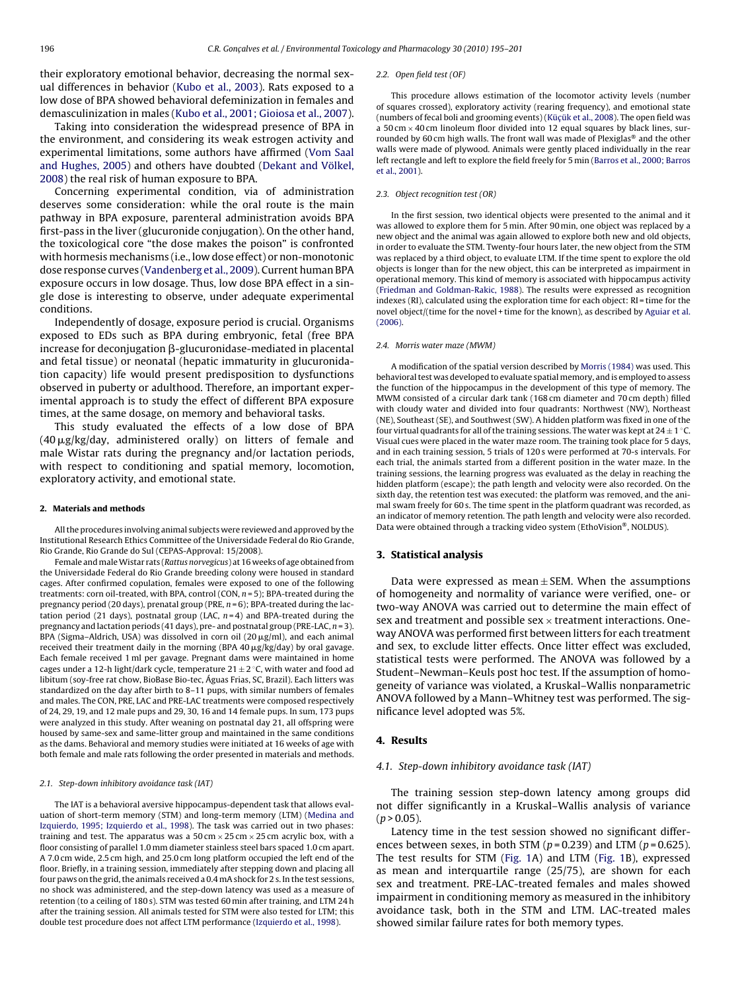their exploratory emotional behavior, decreasing the normal sexual differences in behavior [\(Kubo et al., 2003\).](#page-6-0) Rats exposed to a low dose of BPA showed behavioral defeminization in females and demasculinization in males [\(Kubo et al., 2001; Gioiosa et al., 2007\).](#page-6-0)

Taking into consideration the widespread presence of BPA in the environment, and considering its weak estrogen activity and experimental limitations, some authors have affirmed [\(Vom Saal](#page-6-0) [and Hughes, 2005\)](#page-6-0) and others have doubted [\(Dekant and Völkel,](#page-5-0) [2008\)](#page-5-0) the real risk of human exposure to BPA.

Concerning experimental condition, via of administration deserves some consideration: while the oral route is the main pathway in BPA exposure, parenteral administration avoids BPA first-pass in the liver (glucuronide conjugation). On the other hand, the toxicological core "the dose makes the poison" is confronted with hormesis mechanisms (i.e., low dose effect) or non-monotonic dose response curves ([Vandenberg et al., 2009\).](#page-6-0) Current human BPA exposure occurs in low dosage. Thus, low dose BPA effect in a single dose is interesting to observe, under adequate experimental conditions.

Independently of dosage, exposure period is crucial. Organisms exposed to EDs such as BPA during embryonic, fetal (free BPA increase for deconjugation  $\beta$ -glucuronidase-mediated in placental and fetal tissue) or neonatal (hepatic immaturity in glucuronidation capacity) life would present predisposition to dysfunctions observed in puberty or adulthood. Therefore, an important experimental approach is to study the effect of different BPA exposure times, at the same dosage, on memory and behavioral tasks.

This study evaluated the effects of a low dose of BPA (40 µg/kg/day, administered orally) on litters of female and male Wistar rats during the pregnancy and/or lactation periods, with respect to conditioning and spatial memory, locomotion, exploratory activity, and emotional state.

#### **2. Materials and methods**

All the procedures involving animal subjects were reviewed and approved by the Institutional Research Ethics Committee of the Universidade Federal do Rio Grande, Rio Grande, Rio Grande do Sul (CEPAS-Approval: 15/2008).

Female andmaleWistar rats (Rattus norvegicus) at 16 weeks of age obtained from the Universidade Federal do Rio Grande breeding colony were housed in standard cages. After confirmed copulation, females were exposed to one of the following treatments: corn oil-treated, with BPA, control (CON,  $n = 5$ ); BPA-treated during the pregnancy period (20 days), prenatal group (PRE,  $n = 6$ ); BPA-treated during the lactation period (21 days), postnatal group (LAC,  $n=4$ ) and BPA-treated during the pregnancy and lactation periods (41 days), pre- and postnatal group (PRE-LAC,  $n = 3$ ). BPA (Sigma–Aldrich, USA) was dissolved in corn oil (20  $\mu$ g/ml), and each animal received their treatment daily in the morning (BPA 40  $\mu$ g/kg/day) by oral gavage. Each female received 1 ml per gavage. Pregnant dams were maintained in home cages under a 12-h light/dark cycle, temperature  $21 \pm 2$  °C, with water and food ad libitum (soy-free rat chow, BioBase Bio-tec, Águas Frias, SC, Brazil). Each litters was standardized on the day after birth to 8–11 pups, with similar numbers of females and males. The CON, PRE, LAC and PRE-LAC treatments were composed respectively of 24, 29, 19, and 12 male pups and 29, 30, 16 and 14 female pups. In sum, 173 pups were analyzed in this study. After weaning on postnatal day 21, all offspring were housed by same-sex and same-litter group and maintained in the same conditions as the dams. Behavioral and memory studies were initiated at 16 weeks of age with both female and male rats following the order presented in materials and methods.

#### 2.1. Step-down inhibitory avoidance task (IAT)

The IAT is a behavioral aversive hippocampus-dependent task that allows evaluation of short-term memory (STM) and long-term memory (LTM) [\(Medina and](#page-6-0) [Izquierdo, 1995; Izquierdo et al., 1998\).](#page-6-0) The task was carried out in two phases: training and test. The apparatus was a  $50 \text{ cm} \times 25 \text{ cm} \times 25 \text{ cm}$  acrylic box. with a floor consisting of parallel 1.0 mm diameter stainless steel bars spaced 1.0 cm apart. A 7.0 cm wide, 2.5 cm high, and 25.0 cm long platform occupied the left end of the floor. Briefly, in a training session, immediately after stepping down and placing all four paws on the grid, the animals received a 0.4 mA shock for 2 s. In the test sessions, no shock was administered, and the step-down latency was used as a measure of retention (to a ceiling of 180 s). STM was tested 60 min after training, and LTM 24 h after the training session. All animals tested for STM were also tested for LTM; this double test procedure does not affect LTM performance ([Izquierdo et al., 1998\).](#page-6-0)

#### 2.2. Open field test (OF)

This procedure allows estimation of the locomotor activity levels (number of squares crossed), exploratory activity (rearing frequency), and emotional state (numbers of fecal boli and grooming events) (Küçük et al., 2008). The open field was a 50 cm  $\times$  40 cm linoleum floor divided into 12 equal squares by black lines, surrounded by 60 cm high walls. The front wall was made of Plexiglas® and the other walls were made of plywood. Animals were gently placed individually in the rear left rectangle and left to explore the field freely for 5 min ([Barros et al., 2000; Barros](#page-5-0) [et al., 2001\).](#page-5-0)

# 2.3. Object recognition test (OR)

In the first session, two identical objects were presented to the animal and it was allowed to explore them for 5 min. After 90 min, one object was replaced by a new object and the animal was again allowed to explore both new and old objects, in order to evaluate the STM. Twenty-four hours later, the new object from the STM was replaced by a third object, to evaluate LTM. If the time spent to explore the old objects is longer than for the new object, this can be interpreted as impairment in operational memory. This kind of memory is associated with hippocampus activity ([Friedman and Goldman-Rakic, 1988\).](#page-5-0) The results were expressed as recognition indexes (RI), calculated using the exploration time for each object: RI = time for the novel object/(time for the novel + time for the known), as described by [Aguiar et al.](#page-5-0) [\(2006\).](#page-5-0)

#### 2.4. Morris water maze (MWM)

A modification of the spatial version described by [Morris \(1984\)](#page-6-0) was used. This behavioral test was developed to evaluate spatial memory, and is employed to assess the function of the hippocampus in the development of this type of memory. The MWM consisted of a circular dark tank (168 cm diameter and 70 cm depth) filled with cloudy water and divided into four quadrants: Northwest (NW), Northeast (NE), Southeast (SE), and Southwest (SW). A hidden platform was fixed in one of the four virtual quadrants for all of the training sessions. The water was kept at  $24 \pm 1$  °C. Visual cues were placed in the water maze room. The training took place for 5 days, and in each training session, 5 trials of 120 s were performed at 70-s intervals. For each trial, the animals started from a different position in the water maze. In the training sessions, the learning progress was evaluated as the delay in reaching the hidden platform (escape); the path length and velocity were also recorded. On the sixth day, the retention test was executed: the platform was removed, and the animal swam freely for 60 s. The time spent in the platform quadrant was recorded, as an indicator of memory retention. The path length and velocity were also recorded. Data were obtained through a tracking video system (EthoVision®, NOLDUS).

# **3. Statistical analysis**

Data were expressed as mean  $\pm$  SEM. When the assumptions of homogeneity and normality of variance were verified, one- or two-way ANOVA was carried out to determine the main effect of sex and treatment and possible sex  $\times$  treatment interactions. Oneway ANOVA was performed first between litters for each treatment and sex, to exclude litter effects. Once litter effect was excluded, statistical tests were performed. The ANOVA was followed by a Student–Newman–Keuls post hoc test. If the assumption of homogeneity of variance was violated, a Kruskal–Wallis nonparametric ANOVA followed by a Mann–Whitney test was performed. The significance level adopted was 5%.

# **4. Results**

#### 4.1. Step-down inhibitory avoidance task (IAT)

The training session step-down latency among groups did not differ significantly in a Kruskal–Wallis analysis of variance  $(p > 0.05)$ .

Latency time in the test session showed no significant differences between sexes, in both STM ( $p = 0.239$ ) and LTM ( $p = 0.625$ ). The test results for STM [\(Fig. 1A](#page-2-0)) and LTM [\(Fig. 1B](#page-2-0)), expressed as mean and interquartile range (25/75), are shown for each sex and treatment. PRE-LAC-treated females and males showed impairment in conditioning memory as measured in the inhibitory avoidance task, both in the STM and LTM. LAC-treated males showed similar failure rates for both memory types.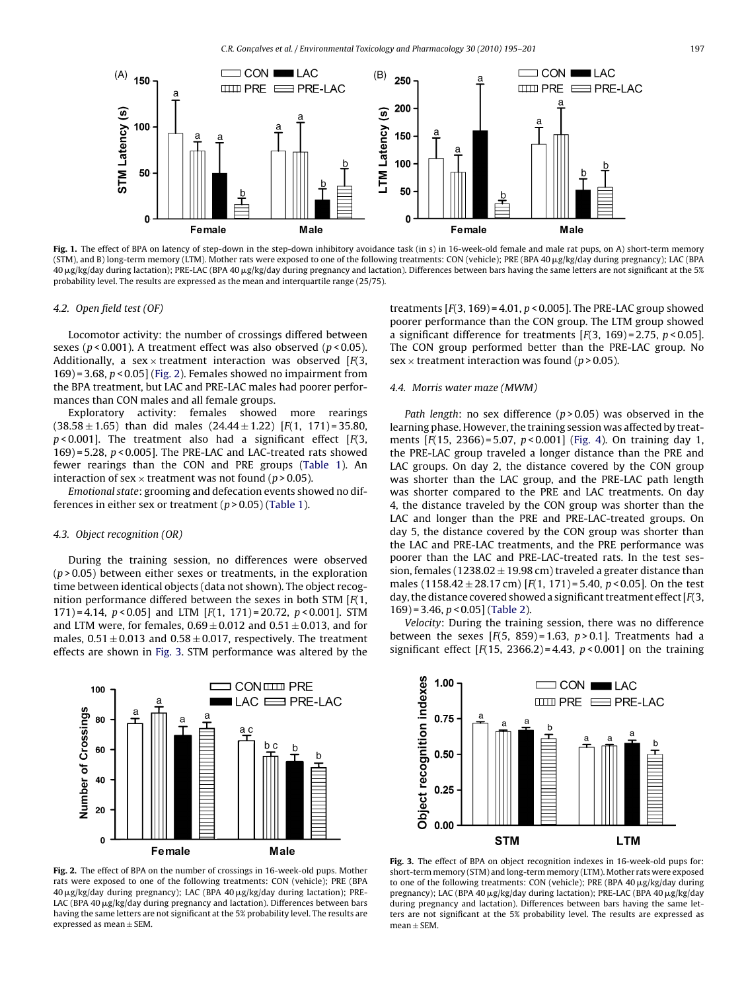<span id="page-2-0"></span>

Fig. 1. The effect of BPA on latency of step-down in the step-down inhibitory avoidance task (in s) in 16-week-old female and male rat pups, on A) short-term memory (STM), and B) long-term memory (LTM). Mother rats were exposed to one of the following treatments: CON (vehicle); PRE (BPA 40  $\mu$ g/kg/day during pregnancy); LAC (BPA 40 µg/kg/day during lactation); PRE-LAC (BPA 40 µg/kg/day during pregnancy and lactation). Differences between bars having the same letters are not significant at the 5% probability level. The results are expressed as the mean and interquartile range (25/75).

# 4.2. Open field test (OF)

Locomotor activity: the number of crossings differed between sexes ( $p$  < 0.001). A treatment effect was also observed ( $p$  < 0.05). Additionally, a sex  $\times$  treatment interaction was observed [F(3, 169) = 3.68,  $p < 0.05$  (Fig. 2). Females showed no impairment from the BPA treatment, but LAC and PRE-LAC males had poorer performances than CON males and all female groups.

Exploratory activity: females showed more rearings  $(38.58 \pm 1.65)$  than did males  $(24.44 \pm 1.22)$  [F(1, 171) = 35.80,  $p$  < 0.001]. The treatment also had a significant effect [ $F(3)$ ]  $169$ ) = 5.28,  $p < 0.005$ ]. The PRE-LAC and LAC-treated rats showed fewer rearings than the CON and PRE groups ([Table 1\)](#page-3-0). An interaction of sex  $\times$  treatment was not found ( $p > 0.05$ ).

Emotional state: grooming and defecation events showed no differences in either sex or treatment  $(p > 0.05)$  ([Table 1\).](#page-3-0)

# 4.3. Object recognition (OR)

During the training session, no differences were observed  $(p > 0.05)$  between either sexes or treatments, in the exploration time between identical objects (data not shown). The object recognition performance differed between the sexes in both STM  $F(1, 1)$ 171) = 4.14,  $p < 0.05$ ] and LTM [ $F(1, 171) = 20.72$ ,  $p < 0.001$ ]. STM and LTM were, for females,  $0.69 \pm 0.012$  and  $0.51 \pm 0.013$ , and for males,  $0.51 \pm 0.013$  and  $0.58 \pm 0.017$ , respectively. The treatment effects are shown in Fig. 3. STM performance was altered by the

treatments  $[F(3, 169) = 4.01, p < 0.005]$ . The PRE-LAC group showed poorer performance than the CON group. The LTM group showed a significant difference for treatments  $[F(3, 169) = 2.75, p < 0.05]$ . The CON group performed better than the PRE-LAC group. No sex  $\times$  treatment interaction was found ( $p > 0.05$ ).

#### 4.4. Morris water maze (MWM)

Path length: no sex difference  $(p > 0.05)$  was observed in the learning phase. However, the training session was affected by treatments  $[F(15, 2366) = 5.07, p < 0.001]$  ([Fig. 4\).](#page-3-0) On training day 1, the PRE-LAC group traveled a longer distance than the PRE and LAC groups. On day 2, the distance covered by the CON group was shorter than the LAC group, and the PRE-LAC path length was shorter compared to the PRE and LAC treatments. On day 4, the distance traveled by the CON group was shorter than the LAC and longer than the PRE and PRE-LAC-treated groups. On day 5, the distance covered by the CON group was shorter than the LAC and PRE-LAC treatments, and the PRE performance was poorer than the LAC and PRE-LAC-treated rats. In the test session, females (1238.02  $\pm$  19.98 cm) traveled a greater distance than males (1158.42  $\pm$  28.17 cm) [ $F(1, 171)$  = 5.40,  $p$  < 0.05]. On the test day, the distance covered showed a significant treatment effect  $[F(3, 1)]$  $169$ ) = 3.46,  $p < 0.05$ ] [\(Table 2\).](#page-3-0)

Velocity: During the training session, there was no difference between the sexes  $[F(5, 859)=1.63, p>0.1]$ . Treatments had a significant effect  $[F(15, 2366.2) = 4.43, p < 0.001]$  on the training



**Fig. 2.** The effect of BPA on the number of crossings in 16-week-old pups. Mother rats were exposed to one of the following treatments: CON (vehicle); PRE (BPA 40 μg/kg/day during pregnancy); LAC (BPA 40 μg/kg/day during lactation); PRE-LAC (BPA 40  $\mu$ g/kg/day during pregnancy and lactation). Differences between bars having the same letters are not significant at the 5% probability level. The results are expressed as mean  $\pm$  SEM.



**Fig. 3.** The effect of BPA on object recognition indexes in 16-week-old pups for: short-term memory (STM) and long-term memory (LTM). Mother rats were exposed to one of the following treatments: CON (vehicle); PRE (BPA 40  $\mu$ g/kg/day during pregnancy); LAC (BPA 40  $\mu$ g/kg/day during lactation); PRE-LAC (BPA 40  $\mu$ g/kg/day during pregnancy and lactation). Differences between bars having the same letters are not significant at the 5% probability level. The results are expressed as  $mean \pm SEM$ .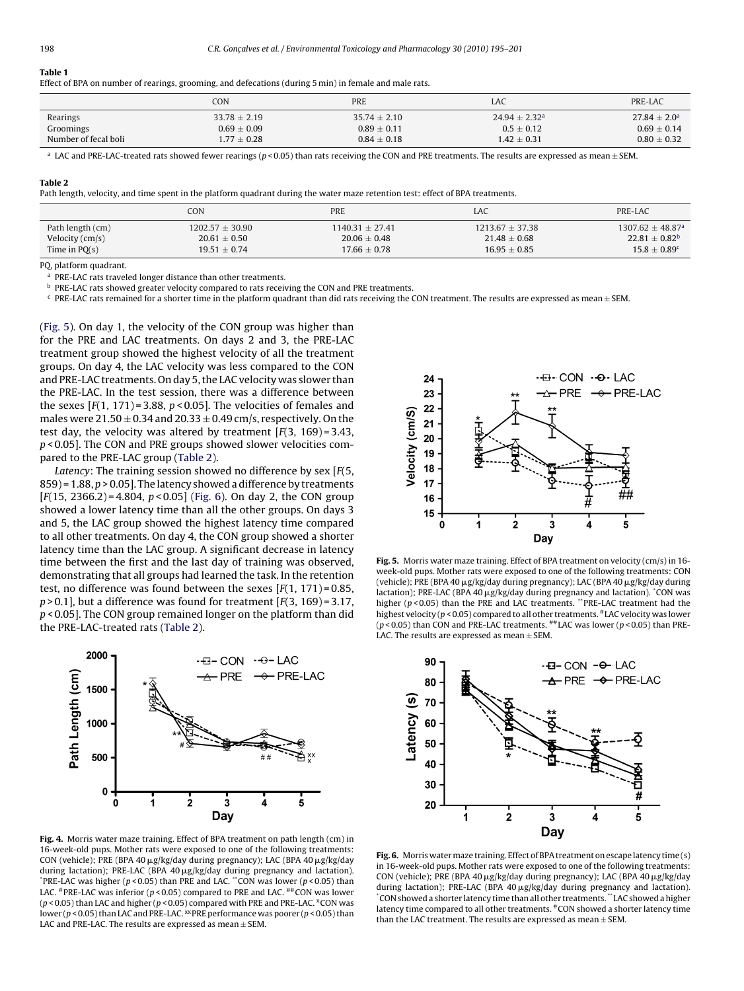<span id="page-3-0"></span>Effect of BPA on number of rearings, grooming, and defecations (during 5 min) in female and male rats.

|                      | CON              | <b>PRE</b>       | LAC                           | PRE-LAC                 |
|----------------------|------------------|------------------|-------------------------------|-------------------------|
| Rearings             | $33.78 \pm 2.19$ | $35.74 \pm 2.10$ | $24.94 \pm 2.32$ <sup>a</sup> | $27.84 \pm 2.0^{\circ}$ |
| Groomings            | $0.69 \pm 0.09$  | $0.89 \pm 0.11$  | $0.5 \pm 0.12$                | $0.69 \pm 0.14$         |
| Number of fecal boli | $1.77 + 0.28$    | $0.84 \pm 0.18$  | $1.42 + 0.31$                 | $0.80 \pm 0.32$         |

<sup>a</sup> LAC and PRE-LAC-treated rats showed fewer rearings (<sup>p</sup> < 0.05) than rats receiving the CON and PRE treatments. The results are expressed as mean <sup>±</sup> SEM.

#### **Table 2**

Path length, velocity, and time spent in the platform quadrant during the water maze retention test: effect of BPA treatments.

|                   | <b>CON</b>        | <b>PRE</b>        | LAC               | PRE-LAC            |
|-------------------|-------------------|-------------------|-------------------|--------------------|
| Path length (cm)  | $1202.57 + 30.90$ | $1140.31 + 27.41$ | $1213.67 + 37.38$ | $1307.62 + 48.87a$ |
| Velocity $(cm/s)$ | $20.61 \pm 0.50$  | $20.06 \pm 0.48$  | $21.48 \pm 0.68$  | $22.81 \pm 0.82^b$ |
| Time in $PQ(s)$   | $19.51 + 0.74$    | $17.66 + 0.78$    | $16.95 + 0.85$    | $15.8 + 0.89^c$    |

PQ, platform quadrant.

a PRE-LAC rats traveled longer distance than other treatments.

**b** PRE-LAC rats showed greater velocity compared to rats receiving the CON and PRE treatments.

<sup>c</sup> PRE-LAC rats remained for a shorter time in the platform quadrant than did rats receiving the CON treatment. The results are expressed as mean <sup>±</sup> SEM.

(Fig. 5). On day 1, the velocity of the CON group was higher than for the PRE and LAC treatments. On days 2 and 3, the PRE-LAC treatment group showed the highest velocity of all the treatment groups. On day 4, the LAC velocity was less compared to the CON and PRE-LAC treatments. On day 5, the LAC velocity was slower than the PRE-LAC. In the test session, there was a difference between the sexes  $[F(1, 171) = 3.88, p < 0.05]$ . The velocities of females and males were  $21.50 \pm 0.34$  and  $20.33 \pm 0.49$  cm/s, respectively. On the test day, the velocity was altered by treatment  $[F(3, 169) = 3.43]$ , p < 0.05]. The CON and PRE groups showed slower velocities compared to the PRE-LAC group (Table 2).

Latency: The training session showed no difference by sex  $[F(5,$  $859$ ) = 1.88,  $p > 0.05$ ]. The latency showed a difference by treatments  $[F(15, 2366.2) = 4.804, p < 0.05]$  (Fig. 6). On day 2, the CON group showed a lower latency time than all the other groups. On days 3 and 5, the LAC group showed the highest latency time compared to all other treatments. On day 4, the CON group showed a shorter latency time than the LAC group. A significant decrease in latency time between the first and the last day of training was observed, demonstrating that all groups had learned the task. In the retention test, no difference was found between the sexes  $[F(1, 171) = 0.85]$ ,  $p > 0.1$ ], but a difference was found for treatment [ $F(3, 169) = 3.17$ ,  $p$  < 0.05]. The CON group remained longer on the platform than did the PRE-LAC-treated rats (Table 2).



**Fig. 4.** Morris water maze training. Effect of BPA treatment on path length (cm) in 16-week-old pups. Mother rats were exposed to one of the following treatments: CON (vehicle); PRE (BPA 40  $\mu$ g/kg/day during pregnancy); LAC (BPA 40  $\mu$ g/kg/day during lactation); PRE-LAC (BPA 40  $\mu$ g/kg/day during pregnancy and lactation). \*PRE-LAC was higher ( $p < 0.05$ ) than PRE and LAC. \*\*CON was lower ( $p < 0.05$ ) than LAC.  $*$ PRE-LAC was inferior ( $p$  < 0.05) compared to PRE and LAC.  $**$ CON was lower ( $p$  < 0.05) than LAC and higher ( $p$  < 0.05) compared with PRE and PRE-LAC.  $^{\text{x}}$ CON was lower ( $p$  < 0.05) than LAC and PRE-LAC. <sup>xx</sup>PRE performance was poorer ( $p$  < 0.05) than LAC and PRE-LAC. The results are expressed as mean  $\pm$  SEM.



**Fig. 5.** Morris water maze training. Effect of BPA treatment on velocity (cm/s) in 16 week-old pups. Mother rats were exposed to one of the following treatments: CON (vehicle); PRE (BPA 40  $\mu$ g/kg/day during pregnancy); LAC (BPA 40  $\mu$ g/kg/day during lactation); PRE-LAC (BPA 40  $\mu$ g/kg/day during pregnancy and lactation).  $^*$ CON was higher ( $p < 0.05$ ) than the PRE and LAC treatments. \*\* PRE-LAC treatment had the highest velocity ( $p$  < 0.05) compared to all other treatments.  $*$ LAC velocity was lower ( $p$  < 0.05) than CON and PRE-LAC treatments.  $^{++}$  LAC was lower ( $p$  < 0.05) than PRE-LAC. The results are expressed as mean  $\pm$  SEM.



Fig. 6. Morris water maze training. Effect of BPA treatment on escape latency time (s) in 16-week-old pups. Mother rats were exposed to one of the following treatments: CON (vehicle); PRE (BPA 40  $\mu$ g/kg/day during pregnancy); LAC (BPA 40  $\mu$ g/kg/day during lactation); PRE-LAC (BPA 40  $\mu$ g/kg/day during pregnancy and lactation). \*CON showed a shorter latency time than all other treatments. \*\*LAC showed a higher latency time compared to all other treatments. #CON showed a shorter latency time than the LAC treatment. The results are expressed as mean  $\pm$  SEM.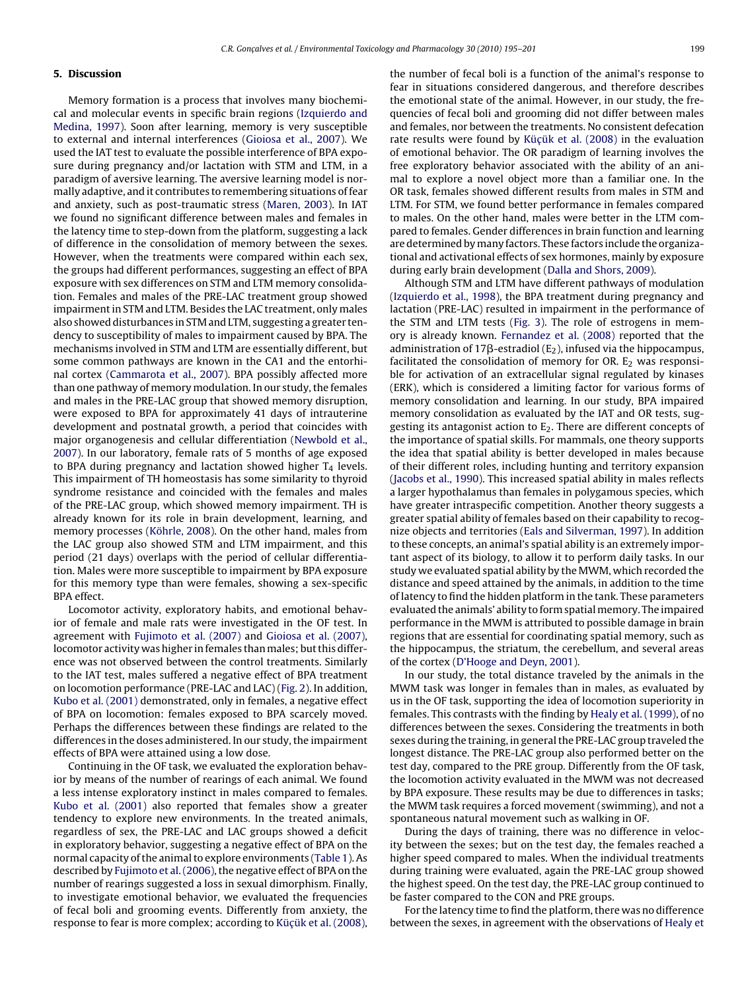#### **5. Discussion**

Memory formation is a process that involves many biochemical and molecular events in specific brain regions ([Izquierdo and](#page-5-0) [Medina, 1997\).](#page-5-0) Soon after learning, memory is very susceptible to external and internal interferences [\(Gioiosa et al., 2007\).](#page-5-0) We used the IAT test to evaluate the possible interference of BPA exposure during pregnancy and/or lactation with STM and LTM, in a paradigm of aversive learning. The aversive learning model is normally adaptive, and it contributes to remembering situations of fear and anxiety, such as post-traumatic stress ([Maren, 2003\).](#page-6-0) In IAT we found no significant difference between males and females in the latency time to step-down from the platform, suggesting a lack of difference in the consolidation of memory between the sexes. However, when the treatments were compared within each sex, the groups had different performances, suggesting an effect of BPA exposure with sex differences on STM and LTM memory consolidation. Females and males of the PRE-LAC treatment group showed impairment in STM and LTM. Besides the LAC treatment, only males also showed disturbances in STM and LTM, suggesting a greater tendency to susceptibility of males to impairment caused by BPA. The mechanisms involved in STM and LTM are essentially different, but some common pathways are known in the CA1 and the entorhinal cortex [\(Cammarota et al., 2007\).](#page-5-0) BPA possibly affected more than one pathway of memory modulation. In our study, the females and males in the PRE-LAC group that showed memory disruption, were exposed to BPA for approximately 41 days of intrauterine development and postnatal growth, a period that coincides with major organogenesis and cellular differentiation ([Newbold et al.,](#page-6-0) [2007\).](#page-6-0) In our laboratory, female rats of 5 months of age exposed to BPA during pregnancy and lactation showed higher  $T_4$  levels. This impairment of TH homeostasis has some similarity to thyroid syndrome resistance and coincided with the females and males of the PRE-LAC group, which showed memory impairment. TH is already known for its role in brain development, learning, and memory processes ([Köhrle, 2008\).](#page-6-0) On the other hand, males from the LAC group also showed STM and LTM impairment, and this period (21 days) overlaps with the period of cellular differentiation. Males were more susceptible to impairment by BPA exposure for this memory type than were females, showing a sex-specific BPA effect.

Locomotor activity, exploratory habits, and emotional behavior of female and male rats were investigated in the OF test. In agreement with [Fujimoto et al. \(2007\)](#page-5-0) and [Gioiosa et al. \(2007\),](#page-5-0) locomotor activity was higher in females than males; but this difference was not observed between the control treatments. Similarly to the IAT test, males suffered a negative effect of BPA treatment on locomotion performance (PRE-LAC and LAC) [\(Fig. 2\).](#page-2-0) In addition, [Kubo et al. \(2001\)](#page-6-0) demonstrated, only in females, a negative effect of BPA on locomotion: females exposed to BPA scarcely moved. Perhaps the differences between these findings are related to the differences in the doses administered. In our study, the impairment effects of BPA were attained using a low dose.

Continuing in the OF task, we evaluated the exploration behavior by means of the number of rearings of each animal. We found a less intense exploratory instinct in males compared to females. [Kubo et al. \(2001\)](#page-6-0) also reported that females show a greater tendency to explore new environments. In the treated animals, regardless of sex, the PRE-LAC and LAC groups showed a deficit in exploratory behavior, suggesting a negative effect of BPA on the normal capacity of the animal to explore environments [\(Table 1\).](#page-3-0) As described by [Fujimoto et al. \(2006\), t](#page-5-0)he negative effect of BPA on the number of rearings suggested a loss in sexual dimorphism. Finally, to investigate emotional behavior, we evaluated the frequencies of fecal boli and grooming events. Differently from anxiety, the response to fear is more complex; according to Küçük et al. (2008),

the number of fecal boli is a function of the animal's response to fear in situations considered dangerous, and therefore describes the emotional state of the animal. However, in our study, the frequencies of fecal boli and grooming did not differ between males and females, nor between the treatments. No consistent defecation rate results were found by Küçük et al. (2008) in the evaluation of emotional behavior. The OR paradigm of learning involves the free exploratory behavior associated with the ability of an animal to explore a novel object more than a familiar one. In the OR task, females showed different results from males in STM and LTM. For STM, we found better performance in females compared to males. On the other hand, males were better in the LTM compared to females. Gender differences in brain function and learning are determined bymany factors. These factors include the organizational and activational effects of sex hormones, mainly by exposure during early brain development [\(Dalla and Shors, 2009\).](#page-5-0)

Although STM and LTM have different pathways of modulation [\(Izquierdo et al., 1998\),](#page-6-0) the BPA treatment during pregnancy and lactation (PRE-LAC) resulted in impairment in the performance of the STM and LTM tests [\(Fig. 3\)](#page-2-0). The role of estrogens in memory is already known. [Fernandez et al. \(2008\)](#page-5-0) reported that the administration of 17 $\beta$ -estradiol (E<sub>2</sub>), infused via the hippocampus, facilitated the consolidation of memory for OR.  $E_2$  was responsible for activation of an extracellular signal regulated by kinases (ERK), which is considered a limiting factor for various forms of memory consolidation and learning. In our study, BPA impaired memory consolidation as evaluated by the IAT and OR tests, suggesting its antagonist action to  $E_2$ . There are different concepts of the importance of spatial skills. For mammals, one theory supports the idea that spatial ability is better developed in males because of their different roles, including hunting and territory expansion [\(Jacobs et al., 1990\).](#page-6-0) This increased spatial ability in males reflects a larger hypothalamus than females in polygamous species, which have greater intraspecific competition. Another theory suggests a greater spatial ability of females based on their capability to recognize objects and territories ([Eals and Silverman, 1997\).](#page-5-0) In addition to these concepts, an animal's spatial ability is an extremely important aspect of its biology, to allow it to perform daily tasks. In our study we evaluated spatial ability by the MWM, which recorded the distance and speed attained by the animals, in addition to the time of latency to find the hidden platform in the tank. These parameters evaluated the animals' ability to form spatial memory. The impaired performance in the MWM is attributed to possible damage in brain regions that are essential for coordinating spatial memory, such as the hippocampus, the striatum, the cerebellum, and several areas of the cortex ([D'Hooge and Deyn, 2001\).](#page-5-0)

In our study, the total distance traveled by the animals in the MWM task was longer in females than in males, as evaluated by us in the OF task, supporting the idea of locomotion superiority in females. This contrasts with the finding by [Healy et al. \(1999\), o](#page-5-0)f no differences between the sexes. Considering the treatments in both sexes during the training, in general the PRE-LAC group traveled the longest distance. The PRE-LAC group also performed better on the test day, compared to the PRE group. Differently from the OF task, the locomotion activity evaluated in the MWM was not decreased by BPA exposure. These results may be due to differences in tasks; the MWM task requires a forced movement (swimming), and not a spontaneous natural movement such as walking in OF.

During the days of training, there was no difference in velocity between the sexes; but on the test day, the females reached a higher speed compared to males. When the individual treatments during training were evaluated, again the PRE-LAC group showed the highest speed. On the test day, the PRE-LAC group continued to be faster compared to the CON and PRE groups.

For the latency time to find the platform, there was no difference between the sexes, in agreement with the observations of [Healy et](#page-5-0)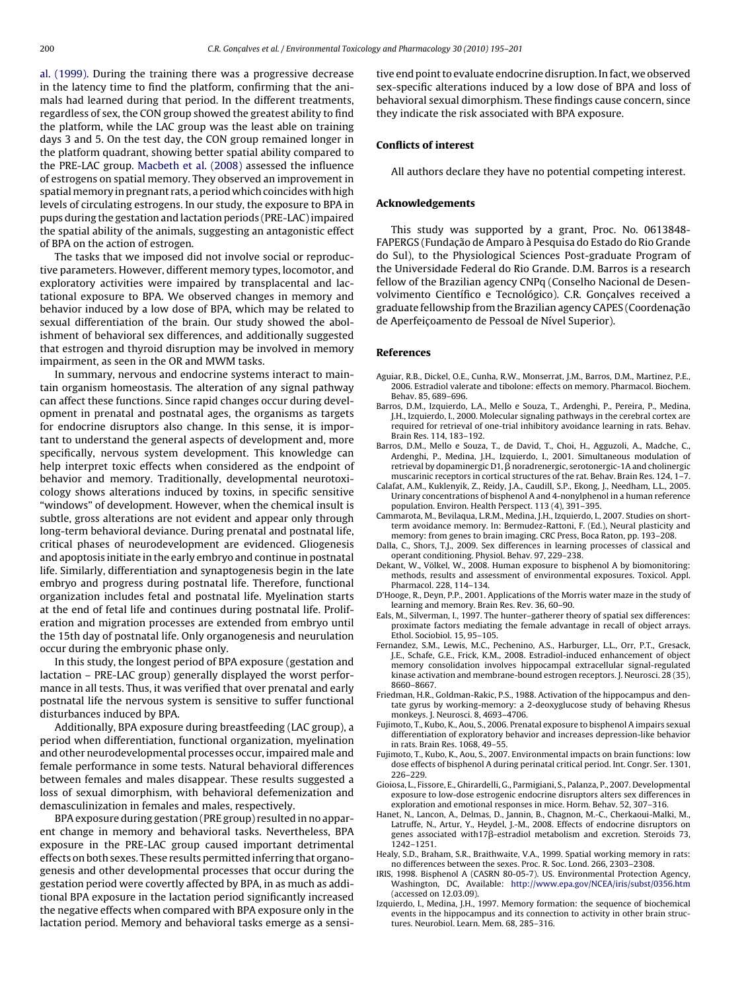<span id="page-5-0"></span>al. (1999). During the training there was a progressive decrease in the latency time to find the platform, confirming that the animals had learned during that period. In the different treatments, regardless of sex, the CON group showed the greatest ability to find the platform, while the LAC group was the least able on training days 3 and 5. On the test day, the CON group remained longer in the platform quadrant, showing better spatial ability compared to the PRE-LAC group. [Macbeth et al. \(2008\)](#page-6-0) assessed the influence of estrogens on spatial memory. They observed an improvement in spatialmemory in pregnant rats, a period which coincides with high levels of circulating estrogens. In our study, the exposure to BPA in pups during the gestation and lactation periods (PRE-LAC) impaired the spatial ability of the animals, suggesting an antagonistic effect of BPA on the action of estrogen.

The tasks that we imposed did not involve social or reproductive parameters. However, different memory types, locomotor, and exploratory activities were impaired by transplacental and lactational exposure to BPA. We observed changes in memory and behavior induced by a low dose of BPA, which may be related to sexual differentiation of the brain. Our study showed the abolishment of behavioral sex differences, and additionally suggested that estrogen and thyroid disruption may be involved in memory impairment, as seen in the OR and MWM tasks.

In summary, nervous and endocrine systems interact to maintain organism homeostasis. The alteration of any signal pathway can affect these functions. Since rapid changes occur during development in prenatal and postnatal ages, the organisms as targets for endocrine disruptors also change. In this sense, it is important to understand the general aspects of development and, more specifically, nervous system development. This knowledge can help interpret toxic effects when considered as the endpoint of behavior and memory. Traditionally, developmental neurotoxicology shows alterations induced by toxins, in specific sensitive "windows" of development. However, when the chemical insult is subtle, gross alterations are not evident and appear only through long-term behavioral deviance. During prenatal and postnatal life, critical phases of neurodevelopment are evidenced. Gliogenesis and apoptosis initiate in the early embryo and continue in postnatal life. Similarly, differentiation and synaptogenesis begin in the late embryo and progress during postnatal life. Therefore, functional organization includes fetal and postnatal life. Myelination starts at the end of fetal life and continues during postnatal life. Proliferation and migration processes are extended from embryo until the 15th day of postnatal life. Only organogenesis and neurulation occur during the embryonic phase only.

In this study, the longest period of BPA exposure (gestation and lactation – PRE-LAC group) generally displayed the worst performance in all tests. Thus, it was verified that over prenatal and early postnatal life the nervous system is sensitive to suffer functional disturbances induced by BPA.

Additionally, BPA exposure during breastfeeding (LAC group), a period when differentiation, functional organization, myelination and other neurodevelopmental processes occur, impaired male and female performance in some tests. Natural behavioral differences between females and males disappear. These results suggested a loss of sexual dimorphism, with behavioral defemenization and demasculinization in females and males, respectively.

BPA exposure during gestation (PRE group) resulted in no apparent change in memory and behavioral tasks. Nevertheless, BPA exposure in the PRE-LAC group caused important detrimental effects on both sexes. These results permitted inferring that organogenesis and other developmental processes that occur during the gestation period were covertly affected by BPA, in as much as additional BPA exposure in the lactation period significantly increased the negative effects when compared with BPA exposure only in the lactation period. Memory and behavioral tasks emerge as a sensitive end point to evaluate endocrine disruption. In fact, we observed sex-specific alterations induced by a low dose of BPA and loss of behavioral sexual dimorphism. These findings cause concern, since they indicate the risk associated with BPA exposure.

## **Conflicts of interest**

All authors declare they have no potential competing interest.

# **Acknowledgements**

This study was supported by a grant, Proc. No. 0613848- FAPERGS (Fundação de Amparo à Pesquisa do Estado do Rio Grande do Sul), to the Physiological Sciences Post-graduate Program of the Universidade Federal do Rio Grande. D.M. Barros is a research fellow of the Brazilian agency CNPq (Conselho Nacional de Desenvolvimento Científico e Tecnológico). C.R. Gonçalves received a graduate fellowship from the Brazilian agency CAPES (Coordenação de Aperfeicoamento de Pessoal de Nível Superior).

## **References**

- Aguiar, R.B., Dickel, O.E., Cunha, R.W., Monserrat, J.M., Barros, D.M., Martinez, P.E., 2006. Estradiol valerate and tibolone: effects on memory. Pharmacol. Biochem. Behav. 85, 689–696.
- Barros, D.M., Izquierdo, L.A., Mello e Souza, T., Ardenghi, P., Pereira, P., Medina, J.H., Izquierdo, I., 2000. Molecular signaling pathways in the cerebral cortex are required for retrieval of one-trial inhibitory avoidance learning in rats. Behav. Brain Res. 114, 183–192.
- Barros, D.M., Mello e Souza, T., de David, T., Choi, H., Agguzoli, A., Madche, C., Ardenghi, P., Medina, J.H., Izquierdo, I., 2001. Simultaneous modulation of retrieval by dopaminergic D1,  $\beta$  noradrenergic, serotonergic-1A and cholinergic muscarinic receptors in cortical structures of the rat. Behav. Brain Res. 124, 1–7.
- Calafat, A.M., Kuklenyik, Z., Reidy, J.A., Caudill, S.P., Ekong, J., Needham, L.L., 2005. Urinary concentrations of bisphenol A and 4-nonylphenol in a human reference population. Environ. Health Perspect. 113 (4), 391–395.
- Cammarota, M., Bevilaqua, L.R.M., Medina, J.H., Izquierdo, I., 2007. Studies on shortterm avoidance memory. In: Bermudez-Rattoni, F. (Ed.), Neural plasticity and memory: from genes to brain imaging. CRC Press, Boca Raton, pp. 193–208.
- Dalla, C., Shors, T.J., 2009. Sex differences in learning processes of classical and operant conditioning. Physiol. Behav. 97, 229–238.
- Dekant, W., Völkel, W., 2008. Human exposure to bisphenol A by biomonitoring: methods, results and assessment of environmental exposures. Toxicol. Appl. Pharmacol. 228, 114–134.
- D'Hooge, R., Deyn, P.P., 2001. Applications of the Morris water maze in the study of learning and memory. Brain Res. Rev. 36, 60–90.
- Eals, M., Silverman, I., 1997. The hunter–gatherer theory of spatial sex differences: proximate factors mediating the female advantage in recall of object arrays. Ethol. Sociobiol. 15, 95–105.
- Fernandez, S.M., Lewis, M.C., Pechenino, A.S., Harburger, L.L., Orr, P.T., Gresack, J.E., Schafe, G.E., Frick, K.M., 2008. Estradiol-induced enhancement of object memory consolidation involves hippocampal extracellular signal-regulated kinase activation and membrane-bound estrogen receptors. J. Neurosci. 28 (35), 8660–8667.
- Friedman, H.R., Goldman-Rakic, P.S., 1988. Activation of the hippocampus and dentate gyrus by working-memory: a 2-deoxyglucose study of behaving Rhesus monkeys. J. Neurosci. 8, 4693–4706.
- Fujimoto, T., Kubo, K., Aou, S., 2006. Prenatal exposure to bisphenol A impairs sexual differentiation of exploratory behavior and increases depression-like behavior in rats. Brain Res. 1068, 49–55.
- Fujimoto, T., Kubo, K., Aou, S., 2007. Environmental impacts on brain functions: low dose effects of bisphenol A during perinatal critical period. Int. Congr. Ser. 1301, 226–229.
- Gioiosa, L., Fissore, E., Ghirardelli, G., Parmigiani, S., Palanza, P., 2007. Developmental exposure to low-dose estrogenic endocrine disruptors alters sex differences in exploration and emotional responses in mice. Horm. Behav. 52, 307–316.
- Hanet, N., Lancon, A., Delmas, D., Jannin, B., Chagnon, M.-C., Cherkaoui-Malki, M., Latruffe, N., Artur, Y., Heydel, J.-M., 2008. Effects of endocrine disruptors on genes associated with17ß-estradiol metabolism and excretion. Steroids 73, 1242–1251.
- Healy, S.D., Braham, S.R., Braithwaite, V.A., 1999. Spatial working memory in rats: no differences between the sexes. Proc. R. Soc. Lond. 266, 2303–2308.
- IRIS, 1998. Bisphenol A (CASRN 80-05-7). US. Environmental Protection Agency, Washington, DC, Available: <http://www.epa.gov/NCEA/iris/subst/0356.htm> (accessed on 12.03.09).
- Izquierdo, I., Medina, J.H., 1997. Memory formation: the sequence of biochemical events in the hippocampus and its connection to activity in other brain structures. Neurobiol. Learn. Mem. 68, 285–316.